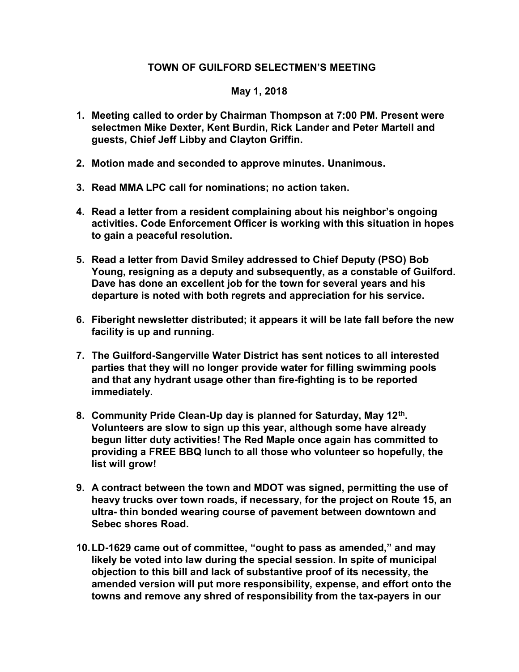## TOWN OF GUILFORD SELECTMEN'S MEETING

## May 1, 2018

- 1. Meeting called to order by Chairman Thompson at 7:00 PM. Present were selectmen Mike Dexter, Kent Burdin, Rick Lander and Peter Martell and guests, Chief Jeff Libby and Clayton Griffin.
- 2. Motion made and seconded to approve minutes. Unanimous.
- 3. Read MMA LPC call for nominations; no action taken.
- 4. Read a letter from a resident complaining about his neighbor's ongoing activities. Code Enforcement Officer is working with this situation in hopes to gain a peaceful resolution.
- 5. Read a letter from David Smiley addressed to Chief Deputy (PSO) Bob Young, resigning as a deputy and subsequently, as a constable of Guilford. Dave has done an excellent job for the town for several years and his departure is noted with both regrets and appreciation for his service.
- 6. Fiberight newsletter distributed; it appears it will be late fall before the new facility is up and running.
- 7. The Guilford-Sangerville Water District has sent notices to all interested parties that they will no longer provide water for filling swimming pools and that any hydrant usage other than fire-fighting is to be reported immediately.
- 8. Community Pride Clean-Up day is planned for Saturday, May 12<sup>th</sup>. Volunteers are slow to sign up this year, although some have already begun litter duty activities! The Red Maple once again has committed to providing a FREE BBQ lunch to all those who volunteer so hopefully, the list will grow!
- 9. A contract between the town and MDOT was signed, permitting the use of heavy trucks over town roads, if necessary, for the project on Route 15, an ultra- thin bonded wearing course of pavement between downtown and Sebec shores Road.
- 10. LD-1629 came out of committee, "ought to pass as amended," and may likely be voted into law during the special session. In spite of municipal objection to this bill and lack of substantive proof of its necessity, the amended version will put more responsibility, expense, and effort onto the towns and remove any shred of responsibility from the tax-payers in our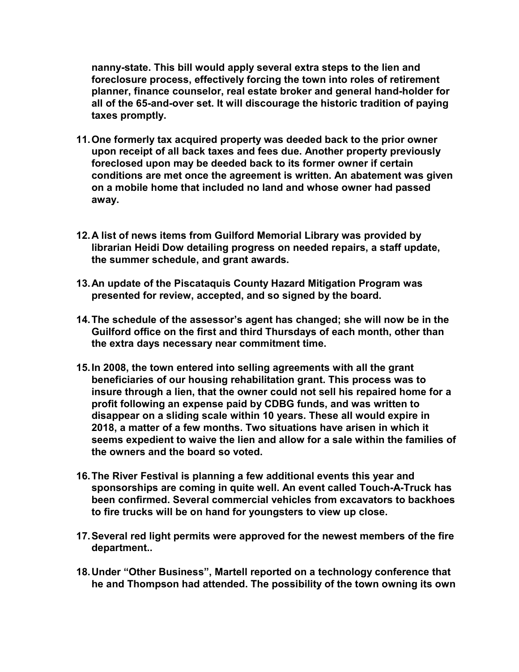nanny-state. This bill would apply several extra steps to the lien and foreclosure process, effectively forcing the town into roles of retirement planner, finance counselor, real estate broker and general hand-holder for all of the 65-and-over set. It will discourage the historic tradition of paying taxes promptly.

- 11. One formerly tax acquired property was deeded back to the prior owner upon receipt of all back taxes and fees due. Another property previously foreclosed upon may be deeded back to its former owner if certain conditions are met once the agreement is written. An abatement was given on a mobile home that included no land and whose owner had passed away.
- 12. A list of news items from Guilford Memorial Library was provided by librarian Heidi Dow detailing progress on needed repairs, a staff update, the summer schedule, and grant awards.
- 13. An update of the Piscataquis County Hazard Mitigation Program was presented for review, accepted, and so signed by the board.
- 14. The schedule of the assessor's agent has changed; she will now be in the Guilford office on the first and third Thursdays of each month, other than the extra days necessary near commitment time.
- 15. In 2008, the town entered into selling agreements with all the grant beneficiaries of our housing rehabilitation grant. This process was to insure through a lien, that the owner could not sell his repaired home for a profit following an expense paid by CDBG funds, and was written to disappear on a sliding scale within 10 years. These all would expire in 2018, a matter of a few months. Two situations have arisen in which it seems expedient to waive the lien and allow for a sale within the families of the owners and the board so voted.
- 16. The River Festival is planning a few additional events this year and sponsorships are coming in quite well. An event called Touch-A-Truck has been confirmed. Several commercial vehicles from excavators to backhoes to fire trucks will be on hand for youngsters to view up close.
- 17. Several red light permits were approved for the newest members of the fire department..
- 18. Under "Other Business", Martell reported on a technology conference that he and Thompson had attended. The possibility of the town owning its own